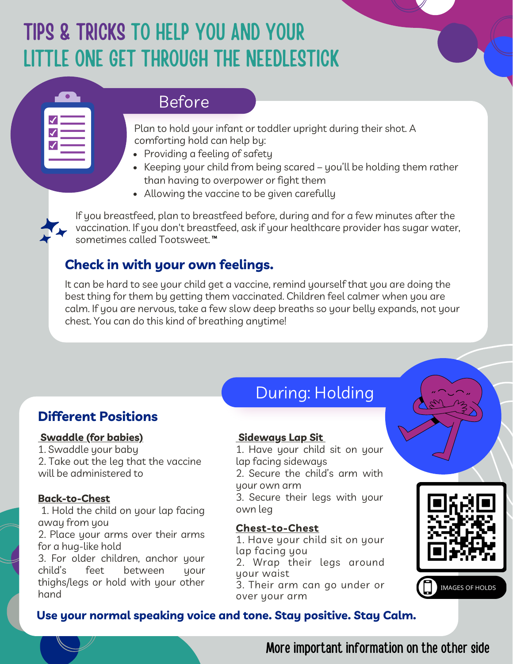# TIPS & TRICKS TO HELP YOU AND YOUR LITTLE ONE GET THROUGH THE NEEDLESTICK

## Before

Plan to hold your infant or toddler upright during their shot. A comforting hold can help by:

- Providing a feeling of safety
- Keeping your child from being scared you'll be holding them rather than having to overpower or fight them
- Allowing the vaccine to be given carefully

If you breastfeed, plan to breastfeed before, during and for a few minutes after the vaccination. If you don't breastfeed, ask if your healthcare provider has sugar water, sometimes called Tootsweet.™

## **Check in with your own feelings.**

It can be hard to see your child get a vaccine, remind yourself that you are doing the best thing for them by getting them vaccinated. Children feel calmer when you are calm. If you are nervous, take a few slow deep breaths so your belly expands, not your chest. You can do this kind of breathing anytime!

## **Different Positions**

#### **Swaddle (for babies)**

1. Swaddle your baby 2. Take out the leg that the vaccine will be administered to

#### **Back-to-Chest**

**Co** 

1. Hold the child on your lap facing away from you

2. Place your arms over their arms for a hug-like hold

3. For older children, anchor your child's feet between your thighs/legs or hold with your other hand

# During: Holding

#### **Sideways Lap Sit**

Start spreading messages and be nice

1. Have your child sit on your It will be replied to be replied to be replied to be replied to be replied to be replied to be replied to be r<br>
In the chance of the but, and the chance of the chance of the same of the chance of the chance of the chance o Example sure the child's arm with z. oceane are alma's arm with

3. Secure their legs with your own leg

## arms **Chest-to-Chest**

you feel comfortable lap facing you 1. Have your child sit on your 2. Wrap their legs around your waist

or hold with your other  $\qquad \quad$  3. Their arm can go under or over your arm



**IMAGES OF HOLDS** 

#### it a try. Good luck. **Use your normal speaking voice and tone. Stay positive. Stay Calm.**

More important information on the other side